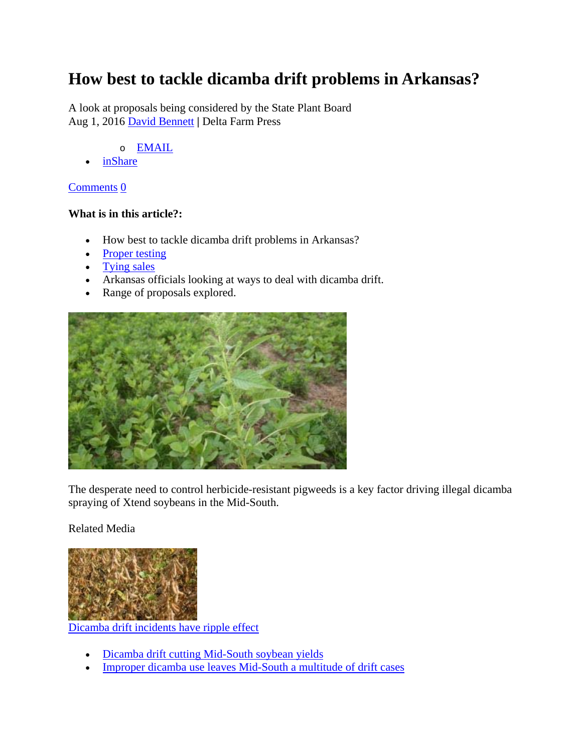## **How best to tackle dicamba drift problems in Arkansas?**

A look at proposals being considered by the State Plant Board Aug 1, 2016 David Bennett **|** Delta Farm Press

- o EMAIL
- inShare

#### Comments 0

#### **What is in this article?:**

- How best to tackle dicamba drift problems in Arkansas?
- Proper testing
- Tying sales
- Arkansas officials looking at ways to deal with dicamba drift.
- Range of proposals explored.



The desperate need to control herbicide-resistant pigweeds is a key factor driving illegal dicamba spraying of Xtend soybeans in the Mid-South.

### Related Media



Dicamba drift incidents have ripple effect

- Dicamba drift cutting Mid-South soybean yields
- Improper dicamba use leaves Mid-South a multitude of drift cases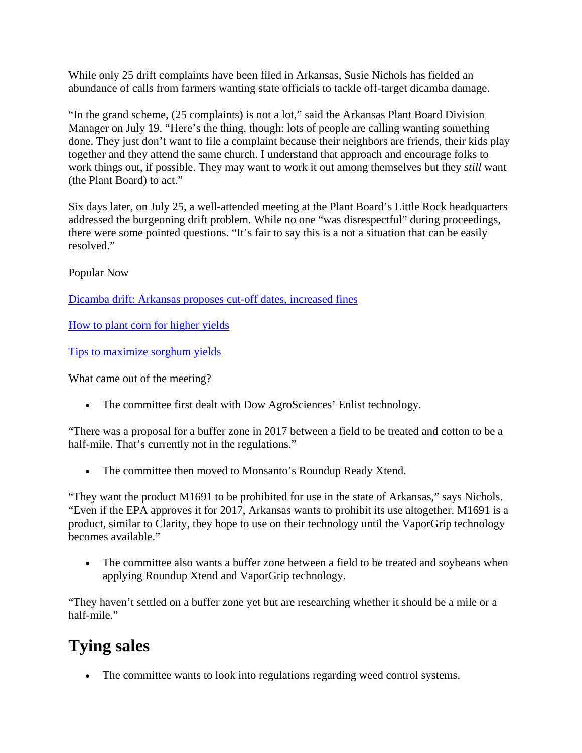While only 25 drift complaints have been filed in Arkansas, Susie Nichols has fielded an abundance of calls from farmers wanting state officials to tackle off-target dicamba damage.

"In the grand scheme, (25 complaints) is not a lot," said the Arkansas Plant Board Division Manager on July 19. "Here's the thing, though: lots of people are calling wanting something done. They just don't want to file a complaint because their neighbors are friends, their kids play together and they attend the same church. I understand that approach and encourage folks to work things out, if possible. They may want to work it out among themselves but they *still* want (the Plant Board) to act."

Six days later, on July 25, a well-attended meeting at the Plant Board's Little Rock headquarters addressed the burgeoning drift problem. While no one "was disrespectful" during proceedings, there were some pointed questions. "It's fair to say this is a not a situation that can be easily resolved."

Popular Now

Dicamba drift: Arkansas proposes cut-off dates, increased fines

How to plant corn for higher yields

Tips to maximize sorghum yields

What came out of the meeting?

• The committee first dealt with Dow AgroSciences' Enlist technology.

"There was a proposal for a buffer zone in 2017 between a field to be treated and cotton to be a half-mile. That's currently not in the regulations."

• The committee then moved to Monsanto's Roundup Ready Xtend.

"They want the product M1691 to be prohibited for use in the state of Arkansas," says Nichols. "Even if the EPA approves it for 2017, Arkansas wants to prohibit its use altogether. M1691 is a product, similar to Clarity, they hope to use on their technology until the VaporGrip technology becomes available."

• The committee also wants a buffer zone between a field to be treated and soybeans when applying Roundup Xtend and VaporGrip technology.

"They haven't settled on a buffer zone yet but are researching whether it should be a mile or a half-mile."

# **Tying sales**

The committee wants to look into regulations regarding weed control systems.